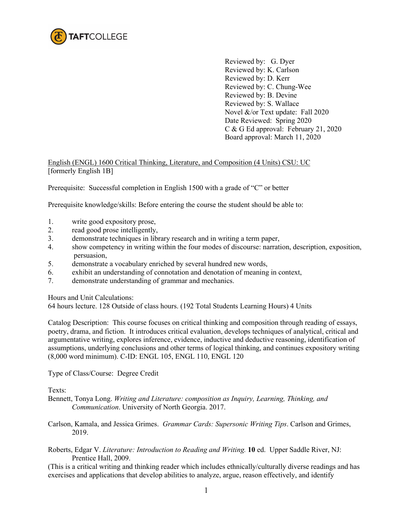

Reviewed by: G. Dyer Reviewed by: K. Carlson Reviewed by: D. Kerr Reviewed by: C. Chung-Wee Reviewed by: B. Devine Reviewed by: S. Wallace Novel &/or Text update: Fall 2020 Date Reviewed: Spring 2020 C & G Ed approval: February 21, 2020 Board approval: March 11, 2020

# English (ENGL) 1600 Critical Thinking, Literature, and Composition (4 Units) CSU: UC [formerly English 1B]

Prerequisite: Successful completion in English 1500 with a grade of "C" or better

Prerequisite knowledge/skills: Before entering the course the student should be able to:

- 1. write good expository prose,
- 2. read good prose intelligently,
- 3. demonstrate techniques in library research and in writing a term paper,
- 4. show competency in writing within the four modes of discourse: narration, description, exposition, persuasion,
- 5. demonstrate a vocabulary enriched by several hundred new words,
- 6. exhibit an understanding of connotation and denotation of meaning in context,
- 7. demonstrate understanding of grammar and mechanics.

Hours and Unit Calculations:

64 hours lecture. 128 Outside of class hours. (192 Total Students Learning Hours) 4 Units

Catalog Description: This course focuses on critical thinking and composition through reading of essays, poetry, drama, and fiction. It introduces critical evaluation, develops techniques of analytical, critical and argumentative writing, explores inference, evidence, inductive and deductive reasoning, identification of assumptions, underlying conclusions and other terms of logical thinking, and continues expository writing (8,000 word minimum). C-ID: ENGL 105, ENGL 110, ENGL 120

Type of Class/Course: Degree Credit

Texts:

Bennett, Tonya Long. *Writing and Literature: composition as Inquiry, Learning, Thinking, and Communication*. University of North Georgia. 2017.

Carlson, Kamala, and Jessica Grimes. *Grammar Cards: Supersonic Writing Tips*. Carlson and Grimes, 2019.

Roberts, Edgar V. *Literature: Introduction to Reading and Writing.* **10** ed. Upper Saddle River, NJ: Prentice Hall, 2009.

(This is a critical writing and thinking reader which includes ethnically/culturally diverse readings and has exercises and applications that develop abilities to analyze, argue, reason effectively, and identify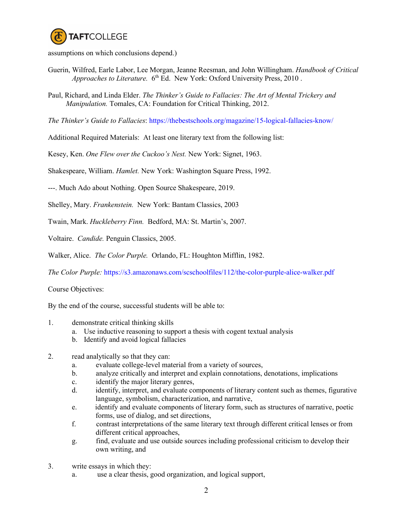

assumptions on which conclusions depend.)

- Guerin, Wilfred, Earle Labor, Lee Morgan, Jeanne Reesman, and John Willingham. *Handbook of Critical Approaches to Literature.* 6<sup>th</sup> Ed. New York: Oxford University Press, 2010.
- Paul, Richard, and Linda Elder. *The Thinker's Guide to Fallacies: The Art of Mental Trickery and Manipulation.* Tomales, CA: Foundation for Critical Thinking, 2012.

*The Thinker's Guide to Fallacies*: <https://thebestschools.org/magazine/15-logical-fallacies-know/>

Additional Required Materials: At least one literary text from the following list:

Kesey, Ken. *One Flew over the Cuckoo's Nest.* New York: Signet, 1963.

Shakespeare, William. *Hamlet.* New York: Washington Square Press, 1992.

---. Much Ado about Nothing. Open Source Shakespeare, 2019.

Shelley, Mary. *Frankenstein.* New York: Bantam Classics, 2003

Twain, Mark. *Huckleberry Finn.* Bedford, MA: St. Martin's, 2007.

Voltaire. *Candide.* Penguin Classics, 2005.

Walker, Alice. *The Color Purple.* Orlando, FL: Houghton Mifflin, 1982.

*The Color Purple:* <https://s3.amazonaws.com/scschoolfiles/112/the-color-purple-alice-walker.pdf>

Course Objectives:

By the end of the course, successful students will be able to:

- 1. demonstrate critical thinking skills
	- a. Use inductive reasoning to support a thesis with cogent textual analysis
	- b. Identify and avoid logical fallacies
- 2. read analytically so that they can:
	- a. evaluate college-level material from a variety of sources,
	- b. analyze critically and interpret and explain connotations, denotations, implications
	- c. identify the major literary genres,
	- d. identify, interpret, and evaluate components of literary content such as themes, figurative language, symbolism, characterization, and narrative,
	- e. identify and evaluate components of literary form, such as structures of narrative, poetic forms, use of dialog, and set directions,
	- f. contrast interpretations of the same literary text through different critical lenses or from different critical approaches,
	- g. find, evaluate and use outside sources including professional criticism to develop their own writing, and
- 3. write essays in which they:
	- a. use a clear thesis, good organization, and logical support,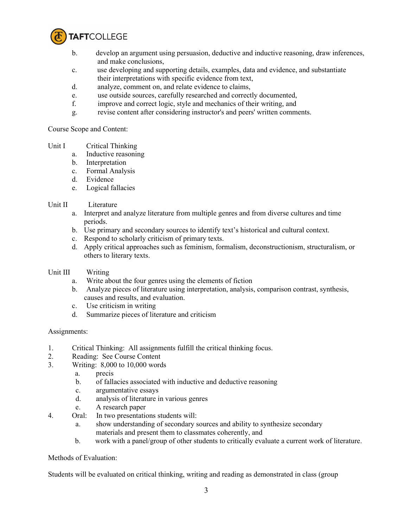

- b. develop an argument using persuasion, deductive and inductive reasoning, draw inferences, and make conclusions,
- c. use developing and supporting details, examples, data and evidence, and substantiate their interpretations with specific evidence from text,
- d. analyze, comment on, and relate evidence to claims,
- e. use outside sources, carefully researched and correctly documented,
- f. improve and correct logic, style and mechanics of their writing, and
- g. revise content after considering instructor's and peers' written comments.

Course Scope and Content:

- Unit I Critical Thinking
	- a. Inductive reasoning
	- b. Interpretation
	- c. Formal Analysis
	- d. Evidence
	- e. Logical fallacies

## Unit II Literature

- a. Interpret and analyze literature from multiple genres and from diverse cultures and time periods.
- b. Use primary and secondary sources to identify text's historical and cultural context.
- c. Respond to scholarly criticism of primary texts.
- d. Apply critical approaches such as feminism, formalism, deconstructionism, structuralism, or others to literary texts.

## Unit III Writing

- a. Write about the four genres using the elements of fiction
- b. Analyze pieces of literature using interpretation, analysis, comparison contrast, synthesis, causes and results, and evaluation.
- c. Use criticism in writing
- d. Summarize pieces of literature and criticism

## Assignments:

- 1. Critical Thinking: All assignments fulfill the critical thinking focus.
- 2. Reading: See Course Content
- 3. Writing: 8,000 to 10,000 words
	- a. precis
	- b. of fallacies associated with inductive and deductive reasoning
	- c. argumentative essays
	- d. analysis of literature in various genres
	- e. A research paper
- 4. Oral: In two presentations students will:
	- a. show understanding of secondary sources and ability to synthesize secondary materials and present them to classmates coherently, and
	- b. work with a panel/group of other students to critically evaluate a current work of literature.

## Methods of Evaluation:

Students will be evaluated on critical thinking, writing and reading as demonstrated in class (group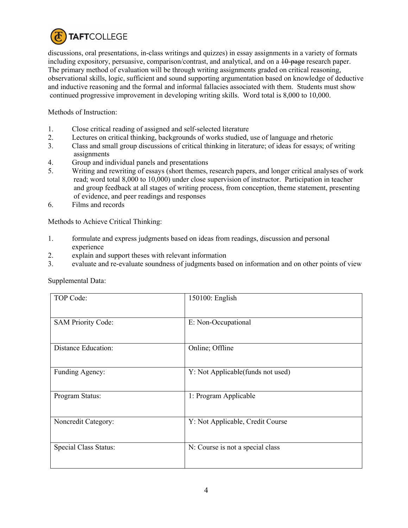

discussions, oral presentations, in-class writings and quizzes) in essay assignments in a variety of formats including expository, persuasive, comparison/contrast, and analytical, and on a  $10$ -page research paper. The primary method of evaluation will be through writing assignments graded on critical reasoning, observational skills, logic, sufficient and sound supporting argumentation based on knowledge of deductive and inductive reasoning and the formal and informal fallacies associated with them. Students must show continued progressive improvement in developing writing skills. Word total is 8,000 to 10,000.

Methods of Instruction:

- 1. Close critical reading of assigned and self-selected literature<br>2. Lectures on critical thinking, backgrounds of works studied.
- 2. Lectures on critical thinking, backgrounds of works studied, use of language and rhetoric
- 3. Class and small group discussions of critical thinking in literature; of ideas for essays; of writing assignments
- 4. Group and individual panels and presentations
- 5. Writing and rewriting of essays (short themes, research papers, and longer critical analyses of work read; word total 8,000 to 10,000) under close supervision of instructor. Participation in teacher and group feedback at all stages of writing process, from conception, theme statement, presenting of evidence, and peer readings and responses
- 6. Films and records

Methods to Achieve Critical Thinking:

- 1. formulate and express judgments based on ideas from readings, discussion and personal experience
- 2. explain and support theses with relevant information
- 3. evaluate and re-evaluate soundness of judgments based on information and on other points of view

| TOP Code:                  | 150100: English                   |
|----------------------------|-----------------------------------|
| <b>SAM Priority Code:</b>  | E: Non-Occupational               |
| <b>Distance Education:</b> | Online; Offline                   |
| Funding Agency:            | Y: Not Applicable(funds not used) |
| Program Status:            | 1: Program Applicable             |
| Noncredit Category:        | Y: Not Applicable, Credit Course  |
| Special Class Status:      | N: Course is not a special class  |

Supplemental Data: